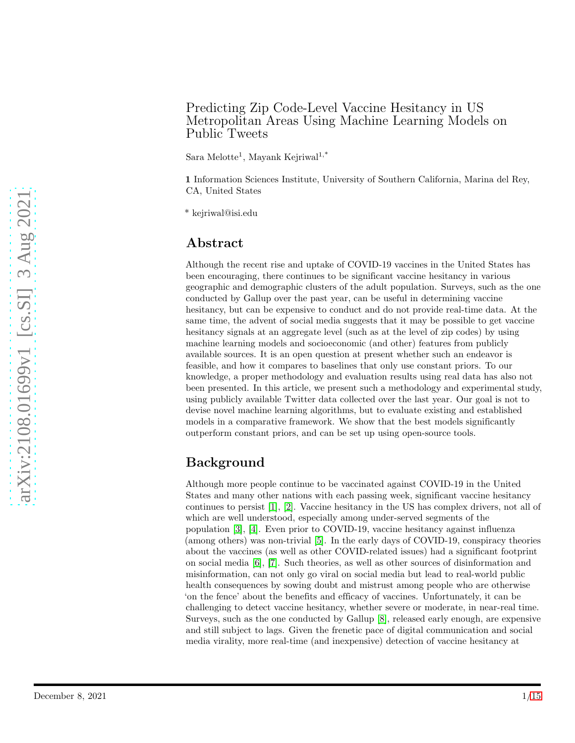## Predicting Zip Code-Level Vaccine Hesitancy in US Metropolitan Areas Using Machine Learning Models on Public Tweets

 $S$ ara Melotte<sup>1</sup>, Mayank Kejriwal<sup>1,\*</sup>

1 Information Sciences Institute, University of Southern California, Marina del Rey, CA, United States

\* kejriwal@isi.edu

## Abstract

Although the recent rise and uptake of COVID-19 vaccines in the United States has been encouraging, there continues to be significant vaccine hesitancy in various geographic and demographic clusters of the adult population. Surveys, such as the one conducted by Gallup over the past year, can be useful in determining vaccine hesitancy, but can be expensive to conduct and do not provide real-time data. At the same time, the advent of social media suggests that it may be possible to get vaccine hesitancy signals at an aggregate level (such as at the level of zip codes) by using machine learning models and socioeconomic (and other) features from publicly available sources. It is an open question at present whether such an endeavor is feasible, and how it compares to baselines that only use constant priors. To our knowledge, a proper methodology and evaluation results using real data has also not been presented. In this article, we present such a methodology and experimental study, using publicly available Twitter data collected over the last year. Our goal is not to devise novel machine learning algorithms, but to evaluate existing and established models in a comparative framework. We show that the best models significantly outperform constant priors, and can be set up using open-source tools.

# Background

Although more people continue to be vaccinated against COVID-19 in the United States and many other nations with each passing week, significant vaccine hesitancy continues to persist [\[1\]](#page-12-0), [\[2\]](#page-13-0). Vaccine hesitancy in the US has complex drivers, not all of which are well understood, especially among under-served segments of the population [\[3\]](#page-13-1), [\[4\]](#page-13-2). Even prior to COVID-19, vaccine hesitancy against influenza (among others) was non-trivial [\[5\]](#page-13-3). In the early days of COVID-19, conspiracy theories about the vaccines (as well as other COVID-related issues) had a significant footprint on social media [\[6\]](#page-13-4), [\[7\]](#page-13-5). Such theories, as well as other sources of disinformation and misinformation, can not only go viral on social media but lead to real-world public health consequences by sowing doubt and mistrust among people who are otherwise 'on the fence' about the benefits and efficacy of vaccines. Unfortunately, it can be challenging to detect vaccine hesitancy, whether severe or moderate, in near-real time. Surveys, such as the one conducted by Gallup [\[8\]](#page-13-6), released early enough, are expensive and still subject to lags. Given the frenetic pace of digital communication and social media virality, more real-time (and inexpensive) detection of vaccine hesitancy at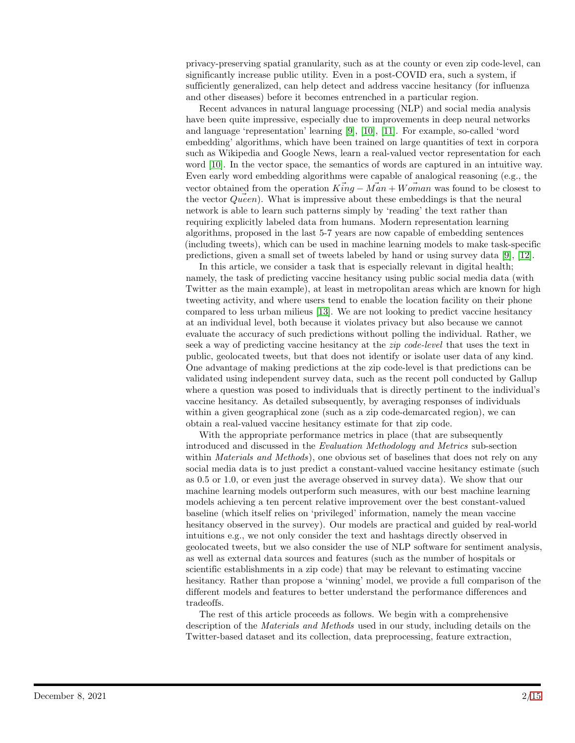privacy-preserving spatial granularity, such as at the county or even zip code-level, can significantly increase public utility. Even in a post-COVID era, such a system, if sufficiently generalized, can help detect and address vaccine hesitancy (for influenza and other diseases) before it becomes entrenched in a particular region.

Recent advances in natural language processing (NLP) and social media analysis have been quite impressive, especially due to improvements in deep neural networks and language 'representation' learning [\[9\]](#page-13-7), [\[10\]](#page-13-8), [\[11\]](#page-13-9). For example, so-called 'word embedding' algorithms, which have been trained on large quantities of text in corpora such as Wikipedia and Google News, learn a real-valued vector representation for each word [\[10\]](#page-13-8). In the vector space, the semantics of words are captured in an intuitive way. Even early word embedding algorithms were capable of analogical reasoning (e.g., the vector obtained from the operation  $K\ddot{i}ng - \ddot{Man} + \ddot{Wom}$  was found to be closest to the vector  $Queen$ . What is impressive about these embeddings is that the neural network is able to learn such patterns simply by 'reading' the text rather than requiring explicitly labeled data from humans. Modern representation learning algorithms, proposed in the last 5-7 years are now capable of embedding sentences (including tweets), which can be used in machine learning models to make task-specific predictions, given a small set of tweets labeled by hand or using survey data [\[9\]](#page-13-7), [\[12\]](#page-13-10).

In this article, we consider a task that is especially relevant in digital health; namely, the task of predicting vaccine hesitancy using public social media data (with Twitter as the main example), at least in metropolitan areas which are known for high tweeting activity, and where users tend to enable the location facility on their phone compared to less urban milieus [\[13\]](#page-13-11). We are not looking to predict vaccine hesitancy at an individual level, both because it violates privacy but also because we cannot evaluate the accuracy of such predictions without polling the individual. Rather, we seek a way of predicting vaccine hesitancy at the *zip code-level* that uses the text in public, geolocated tweets, but that does not identify or isolate user data of any kind. One advantage of making predictions at the zip code-level is that predictions can be validated using independent survey data, such as the recent poll conducted by Gallup where a question was posed to individuals that is directly pertinent to the individual's vaccine hesitancy. As detailed subsequently, by averaging responses of individuals within a given geographical zone (such as a zip code-demarcated region), we can obtain a real-valued vaccine hesitancy estimate for that zip code.

With the appropriate performance metrics in place (that are subsequently introduced and discussed in the Evaluation Methodology and Metrics sub-section within *Materials and Methods*), one obvious set of baselines that does not rely on any social media data is to just predict a constant-valued vaccine hesitancy estimate (such as 0.5 or 1.0, or even just the average observed in survey data). We show that our machine learning models outperform such measures, with our best machine learning models achieving a ten percent relative improvement over the best constant-valued baseline (which itself relies on 'privileged' information, namely the mean vaccine hesitancy observed in the survey). Our models are practical and guided by real-world intuitions e.g., we not only consider the text and hashtags directly observed in geolocated tweets, but we also consider the use of NLP software for sentiment analysis, as well as external data sources and features (such as the number of hospitals or scientific establishments in a zip code) that may be relevant to estimating vaccine hesitancy. Rather than propose a 'winning' model, we provide a full comparison of the different models and features to better understand the performance differences and tradeoffs.

The rest of this article proceeds as follows. We begin with a comprehensive description of the Materials and Methods used in our study, including details on the Twitter-based dataset and its collection, data preprocessing, feature extraction,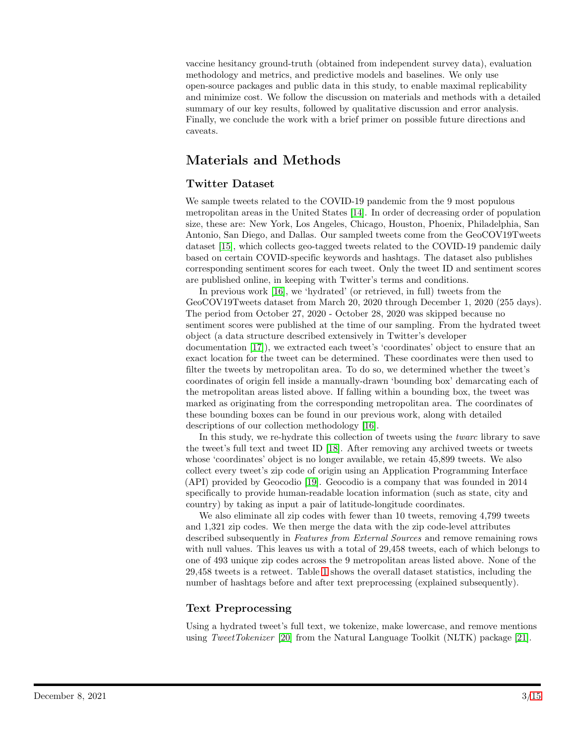vaccine hesitancy ground-truth (obtained from independent survey data), evaluation methodology and metrics, and predictive models and baselines. We only use open-source packages and public data in this study, to enable maximal replicability and minimize cost. We follow the discussion on materials and methods with a detailed summary of our key results, followed by qualitative discussion and error analysis. Finally, we conclude the work with a brief primer on possible future directions and caveats.

# Materials and Methods

### Twitter Dataset

We sample tweets related to the COVID-19 pandemic from the 9 most populous metropolitan areas in the United States [\[14\]](#page-13-12). In order of decreasing order of population size, these are: New York, Los Angeles, Chicago, Houston, Phoenix, Philadelphia, San Antonio, San Diego, and Dallas. Our sampled tweets come from the GeoCOV19Tweets dataset [\[15\]](#page-13-13), which collects geo-tagged tweets related to the COVID-19 pandemic daily based on certain COVID-specific keywords and hashtags. The dataset also publishes corresponding sentiment scores for each tweet. Only the tweet ID and sentiment scores are published online, in keeping with Twitter's terms and conditions.

In previous work [\[16\]](#page-13-14), we 'hydrated' (or retrieved, in full) tweets from the GeoCOV19Tweets dataset from March 20, 2020 through December 1, 2020 (255 days). The period from October 27, 2020 - October 28, 2020 was skipped because no sentiment scores were published at the time of our sampling. From the hydrated tweet object (a data structure described extensively in Twitter's developer documentation [\[17\]](#page-13-15)), we extracted each tweet's 'coordinates' object to ensure that an exact location for the tweet can be determined. These coordinates were then used to filter the tweets by metropolitan area. To do so, we determined whether the tweet's coordinates of origin fell inside a manually-drawn 'bounding box' demarcating each of the metropolitan areas listed above. If falling within a bounding box, the tweet was marked as originating from the corresponding metropolitan area. The coordinates of these bounding boxes can be found in our previous work, along with detailed descriptions of our collection methodology [\[16\]](#page-13-14).

In this study, we re-hydrate this collection of tweets using the twarc library to save the tweet's full text and tweet ID [\[18\]](#page-13-16). After removing any archived tweets or tweets whose 'coordinates' object is no longer available, we retain 45,899 tweets. We also collect every tweet's zip code of origin using an Application Programming Interface (API) provided by Geocodio [\[19\]](#page-13-17). Geocodio is a company that was founded in 2014 specifically to provide human-readable location information (such as state, city and country) by taking as input a pair of latitude-longitude coordinates.

We also eliminate all zip codes with fewer than 10 tweets, removing 4,799 tweets and 1,321 zip codes. We then merge the data with the zip code-level attributes described subsequently in Features from External Sources and remove remaining rows with null values. This leaves us with a total of 29,458 tweets, each of which belongs to one of 493 unique zip codes across the 9 metropolitan areas listed above. None of the 29,458 tweets is a retweet. Table [1](#page-3-0) shows the overall dataset statistics, including the number of hashtags before and after text preprocessing (explained subsequently).

### Text Preprocessing

Using a hydrated tweet's full text, we tokenize, make lowercase, and remove mentions using TweetTokenizer [\[20\]](#page-13-18) from the Natural Language Toolkit (NLTK) package [\[21\]](#page-14-1).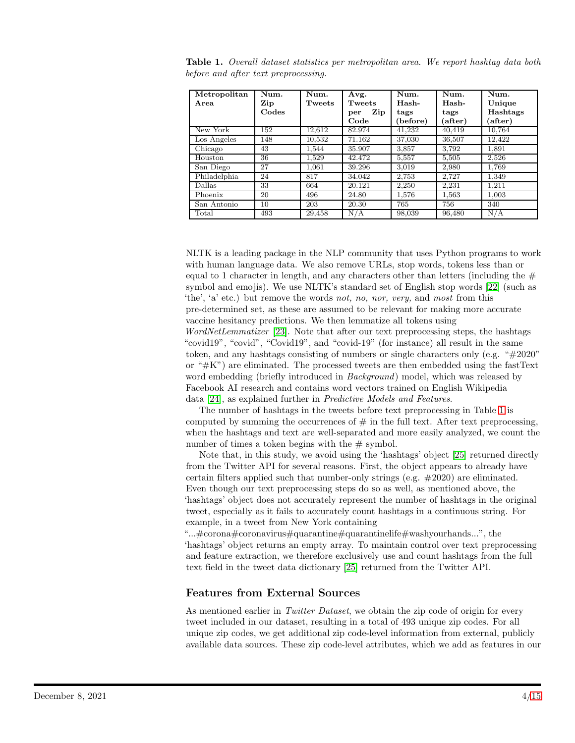| Metropolitan<br>Area | Num.<br>Zip | Num.<br>Tweets | Avg.<br>Tweets | Num.<br>Hash- | Num.<br>Hash- | Num.<br>Unique |
|----------------------|-------------|----------------|----------------|---------------|---------------|----------------|
|                      | Codes       |                | Zip<br>per     | tags          | tags          | Hashtags       |
|                      |             |                | Code           | (before)      | after)        | after)         |
| New York             | 152         | 12.612         | 82.974         | 41.232        | 40,419        | 10.764         |
| Los Angeles          | 148         | 10,532         | 71.162         | 37,030        | 36,507        | 12.422         |
| Chicago              | 43          | 1.544          | 35.907         | 3,857         | 3.792         | 1,891          |
| Houston              | 36          | 1.529          | 42.472         | 5.557         | 5.505         | 2.526          |
| San Diego            | 27          | 1.061          | 39.296         | 3,019         | 2,980         | 1,769          |
| Philadelphia         | 24          | 817            | 34.042         | 2.753         | 2.727         | 1.349          |
| Dallas               | 33          | 664            | 20.121         | 2,250         | 2,231         | 1,211          |
| Phoenix              | 20          | 496            | 24.80          | 1,576         | 1,563         | 1,003          |
| San Antonio          | 10          | 203            | 20.30          | 765           | 756           | 340            |
| Total                | 493         | 29,458         | N/A            | 98,039        | 96,480        | N/A            |

<span id="page-3-0"></span>Table 1. Overall dataset statistics per metropolitan area. We report hashtag data both before and after text preprocessing.

NLTK is a leading package in the NLP community that uses Python programs to work with human language data. We also remove URLs, stop words, tokens less than or equal to 1 character in length, and any characters other than letters (including the  $#$ symbol and emojis). We use NLTK's standard set of English stop words [\[22\]](#page-14-2) (such as 'the', 'a' etc.) but remove the words not, no, nor, very, and most from this pre-determined set, as these are assumed to be relevant for making more accurate vaccine hesitancy predictions. We then lemmatize all tokens using WordNetLemmatizer [\[23\]](#page-14-3). Note that after our text preprocessing steps, the hashtags "covid19", "covid", "Covid19", and "covid-19" (for instance) all result in the same token, and any hashtags consisting of numbers or single characters only (e.g. "#2020" or " $#K$ ") are eliminated. The processed tweets are then embedded using the fast Text word embedding (briefly introduced in *Background*) model, which was released by Facebook AI research and contains word vectors trained on English Wikipedia data [\[24\]](#page-14-4), as explained further in Predictive Models and Features.

The number of hashtags in the tweets before text preprocessing in Table [1](#page-3-0) is computed by summing the occurrences of  $#$  in the full text. After text preprocessing, when the hashtags and text are well-separated and more easily analyzed, we count the number of times a token begins with the  $#$  symbol.

Note that, in this study, we avoid using the 'hashtags' object [\[25\]](#page-14-5) returned directly from the Twitter API for several reasons. First, the object appears to already have certain filters applied such that number-only strings (e.g.  $\#2020$ ) are eliminated. Even though our text preprocessing steps do so as well, as mentioned above, the 'hashtags' object does not accurately represent the number of hashtags in the original tweet, especially as it fails to accurately count hashtags in a continuous string. For example, in a tweet from New York containing

"...#corona#coronavirus#quarantine#quarantinelife#washyourhands...", the 'hashtags' object returns an empty array. To maintain control over text preprocessing and feature extraction, we therefore exclusively use and count hashtags from the full text field in the tweet data dictionary [\[25\]](#page-14-5) returned from the Twitter API.

### Features from External Sources

As mentioned earlier in *Twitter Dataset*, we obtain the zip code of origin for every tweet included in our dataset, resulting in a total of 493 unique zip codes. For all unique zip codes, we get additional zip code-level information from external, publicly available data sources. These zip code-level attributes, which we add as features in our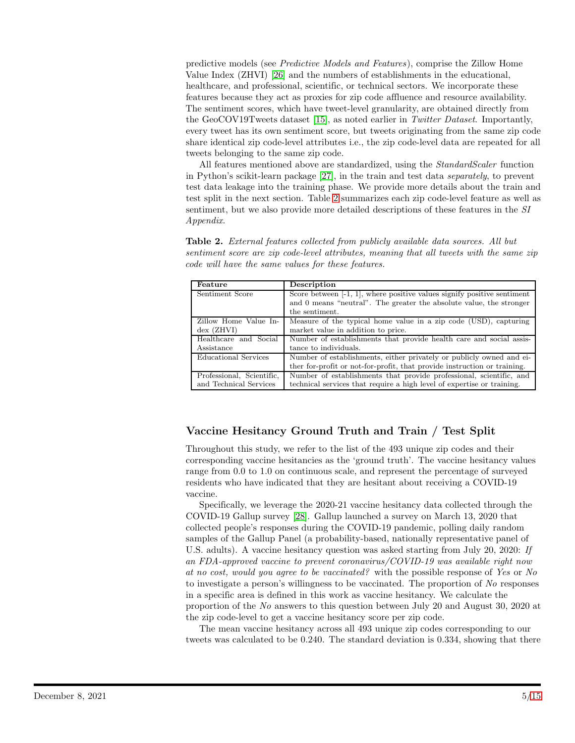predictive models (see Predictive Models and Features), comprise the Zillow Home Value Index (ZHVI) [\[26\]](#page-14-6) and the numbers of establishments in the educational, healthcare, and professional, scientific, or technical sectors. We incorporate these features because they act as proxies for zip code affluence and resource availability. The sentiment scores, which have tweet-level granularity, are obtained directly from the GeoCOV19Tweets dataset [\[15\]](#page-13-13), as noted earlier in Twitter Dataset. Importantly, every tweet has its own sentiment score, but tweets originating from the same zip code share identical zip code-level attributes i.e., the zip code-level data are repeated for all tweets belonging to the same zip code.

All features mentioned above are standardized, using the *StandardScaler* function in Python's scikit-learn package [\[27\]](#page-14-7), in the train and test data separately, to prevent test data leakage into the training phase. We provide more details about the train and test split in the next section. Table [2](#page-4-0) summarizes each zip code-level feature as well as sentiment, but we also provide more detailed descriptions of these features in the SI Appendix.

<span id="page-4-0"></span>Table 2. External features collected from publicly available data sources. All but sentiment score are zip code-level attributes, meaning that all tweets with the same zip code will have the same values for these features.

| Feature                     | Description                                                                |  |  |
|-----------------------------|----------------------------------------------------------------------------|--|--|
| Sentiment Score             | Score between $[-1, 1]$ , where positive values signify positive sentiment |  |  |
|                             | and 0 means "neutral". The greater the absolute value, the stronger        |  |  |
|                             | the sentiment.                                                             |  |  |
| Zillow Home Value In-       | Measure of the typical home value in a zip code (USD), capturing           |  |  |
| $dex$ (ZHVI)                | market value in addition to price.                                         |  |  |
| Healthcare and Social       | Number of establishments that provide health care and social assis-        |  |  |
| Assistance                  | tance to individuals.                                                      |  |  |
| <b>Educational Services</b> | Number of establishments, either privately or publicly owned and ei-       |  |  |
|                             | ther for-profit or not-for-profit, that provide instruction or training.   |  |  |
| Professional, Scientific,   | Number of establishments that provide professional, scientific, and        |  |  |
| and Technical Services      | technical services that require a high level of expertise or training.     |  |  |

## Vaccine Hesitancy Ground Truth and Train / Test Split

Throughout this study, we refer to the list of the 493 unique zip codes and their corresponding vaccine hesitancies as the 'ground truth'. The vaccine hesitancy values range from 0.0 to 1.0 on continuous scale, and represent the percentage of surveyed residents who have indicated that they are hesitant about receiving a COVID-19 vaccine.

Specifically, we leverage the 2020-21 vaccine hesitancy data collected through the COVID-19 Gallup survey [\[28\]](#page-14-8). Gallup launched a survey on March 13, 2020 that collected people's responses during the COVID-19 pandemic, polling daily random samples of the Gallup Panel (a probability-based, nationally representative panel of U.S. adults). A vaccine hesitancy question was asked starting from July 20, 2020: If an FDA-approved vaccine to prevent coronavirus/COVID-19 was available right now at no cost, would you agree to be vaccinated? with the possible response of Yes or No to investigate a person's willingness to be vaccinated. The proportion of No responses in a specific area is defined in this work as vaccine hesitancy. We calculate the proportion of the No answers to this question between July 20 and August 30, 2020 at the zip code-level to get a vaccine hesitancy score per zip code.

The mean vaccine hesitancy across all 493 unique zip codes corresponding to our tweets was calculated to be 0.240. The standard deviation is 0.334, showing that there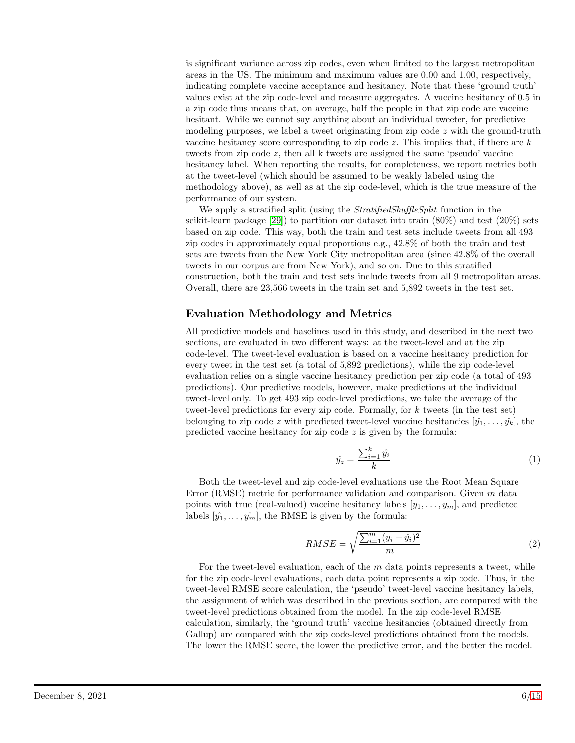is significant variance across zip codes, even when limited to the largest metropolitan areas in the US. The minimum and maximum values are 0.00 and 1.00, respectively, indicating complete vaccine acceptance and hesitancy. Note that these 'ground truth' values exist at the zip code-level and measure aggregates. A vaccine hesitancy of 0.5 in a zip code thus means that, on average, half the people in that zip code are vaccine hesitant. While we cannot say anything about an individual tweeter, for predictive modeling purposes, we label a tweet originating from zip code  $z$  with the ground-truth vaccine hesitancy score corresponding to zip code z. This implies that, if there are  $k$ tweets from zip code z, then all k tweets are assigned the same 'pseudo' vaccine hesitancy label. When reporting the results, for completeness, we report metrics both at the tweet-level (which should be assumed to be weakly labeled using the methodology above), as well as at the zip code-level, which is the true measure of the performance of our system.

We apply a stratified split (using the *StratifiedShuffleSplit* function in the scikit-learn package  $[29]$  to partition our dataset into train  $(80\%)$  and test  $(20\%)$  sets based on zip code. This way, both the train and test sets include tweets from all 493 zip codes in approximately equal proportions e.g., 42.8% of both the train and test sets are tweets from the New York City metropolitan area (since 42.8% of the overall tweets in our corpus are from New York), and so on. Due to this stratified construction, both the train and test sets include tweets from all 9 metropolitan areas. Overall, there are 23,566 tweets in the train set and 5,892 tweets in the test set.

#### Evaluation Methodology and Metrics

All predictive models and baselines used in this study, and described in the next two sections, are evaluated in two different ways: at the tweet-level and at the zip code-level. The tweet-level evaluation is based on a vaccine hesitancy prediction for every tweet in the test set (a total of 5,892 predictions), while the zip code-level evaluation relies on a single vaccine hesitancy prediction per zip code (a total of 493 predictions). Our predictive models, however, make predictions at the individual tweet-level only. To get 493 zip code-level predictions, we take the average of the tweet-level predictions for every zip code. Formally, for k tweets (in the test set) belonging to zip code z with predicted tweet-level vaccine hesitancies  $[\hat{y}_1, \ldots, \hat{y}_k]$ , the predicted vaccine hesitancy for zip code  $z$  is given by the formula:

$$
\hat{y}_z = \frac{\sum_{i=1}^k \hat{y}_i}{k} \tag{1}
$$

Both the tweet-level and zip code-level evaluations use the Root Mean Square Error (RMSE) metric for performance validation and comparison. Given  $m$  data points with true (real-valued) vaccine hesitancy labels  $[y_1, \ldots, y_m]$ , and predicted labels  $[\hat{y}_1, \ldots, \hat{y}_m]$ , the RMSE is given by the formula:

$$
RMSE = \sqrt{\frac{\sum_{i=1}^{m} (y_i - \hat{y}_i)^2}{m}}
$$
\n
$$
(2)
$$

For the tweet-level evaluation, each of the  $m$  data points represents a tweet, while for the zip code-level evaluations, each data point represents a zip code. Thus, in the tweet-level RMSE score calculation, the 'pseudo' tweet-level vaccine hesitancy labels, the assignment of which was described in the previous section, are compared with the tweet-level predictions obtained from the model. In the zip code-level RMSE calculation, similarly, the 'ground truth' vaccine hesitancies (obtained directly from Gallup) are compared with the zip code-level predictions obtained from the models. The lower the RMSE score, the lower the predictive error, and the better the model.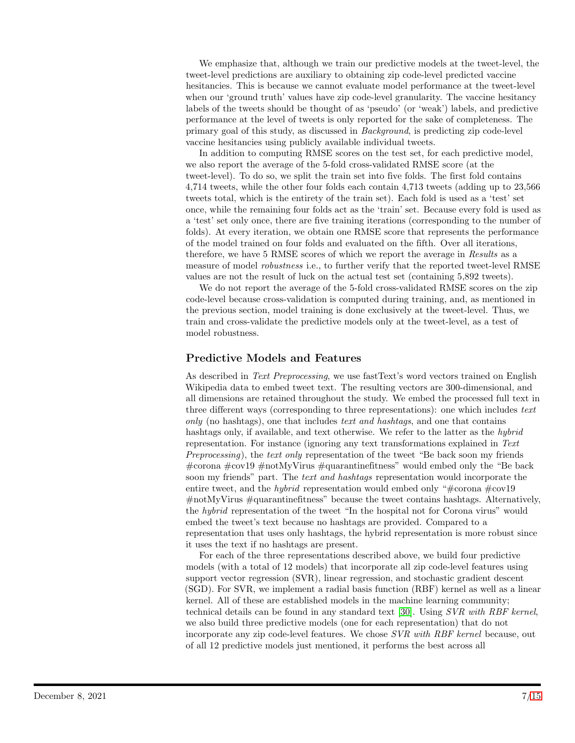We emphasize that, although we train our predictive models at the tweet-level, the tweet-level predictions are auxiliary to obtaining zip code-level predicted vaccine hesitancies. This is because we cannot evaluate model performance at the tweet-level when our 'ground truth' values have zip code-level granularity. The vaccine hesitancy labels of the tweets should be thought of as 'pseudo' (or 'weak') labels, and predictive performance at the level of tweets is only reported for the sake of completeness. The primary goal of this study, as discussed in Background, is predicting zip code-level vaccine hesitancies using publicly available individual tweets.

In addition to computing RMSE scores on the test set, for each predictive model, we also report the average of the 5-fold cross-validated RMSE score (at the tweet-level). To do so, we split the train set into five folds. The first fold contains 4,714 tweets, while the other four folds each contain 4,713 tweets (adding up to 23,566 tweets total, which is the entirety of the train set). Each fold is used as a 'test' set once, while the remaining four folds act as the 'train' set. Because every fold is used as a 'test' set only once, there are five training iterations (corresponding to the number of folds). At every iteration, we obtain one RMSE score that represents the performance of the model trained on four folds and evaluated on the fifth. Over all iterations, therefore, we have 5 RMSE scores of which we report the average in Results as a measure of model *robustness* i.e., to further verify that the reported tweet-level RMSE values are not the result of luck on the actual test set (containing 5,892 tweets).

We do not report the average of the 5-fold cross-validated RMSE scores on the zip code-level because cross-validation is computed during training, and, as mentioned in the previous section, model training is done exclusively at the tweet-level. Thus, we train and cross-validate the predictive models only at the tweet-level, as a test of model robustness.

### Predictive Models and Features

As described in Text Preprocessing, we use fastText's word vectors trained on English Wikipedia data to embed tweet text. The resulting vectors are 300-dimensional, and all dimensions are retained throughout the study. We embed the processed full text in three different ways (corresponding to three representations): one which includes text only (no hashtags), one that includes text and hashtags, and one that contains hashtags only, if available, and text otherwise. We refer to the latter as the *hybrid* representation. For instance (ignoring any text transformations explained in Text Preprocessing), the text only representation of the tweet "Be back soon my friends #corona #cov19 #notMyVirus #quarantinefitness" would embed only the "Be back soon my friends" part. The *text and hashtags* representation would incorporate the entire tweet, and the *hybrid* representation would embed only "#corona  $\text{\#cov}19$ #notMyVirus #quarantinefitness" because the tweet contains hashtags. Alternatively, the hybrid representation of the tweet "In the hospital not for Corona virus" would embed the tweet's text because no hashtags are provided. Compared to a representation that uses only hashtags, the hybrid representation is more robust since it uses the text if no hashtags are present.

For each of the three representations described above, we build four predictive models (with a total of 12 models) that incorporate all zip code-level features using support vector regression (SVR), linear regression, and stochastic gradient descent (SGD). For SVR, we implement a radial basis function (RBF) kernel as well as a linear kernel. All of these are established models in the machine learning community; technical details can be found in any standard text [\[30\]](#page-14-10). Using SVR with RBF kernel, we also build three predictive models (one for each representation) that do not incorporate any zip code-level features. We chose SVR with RBF kernel because, out of all 12 predictive models just mentioned, it performs the best across all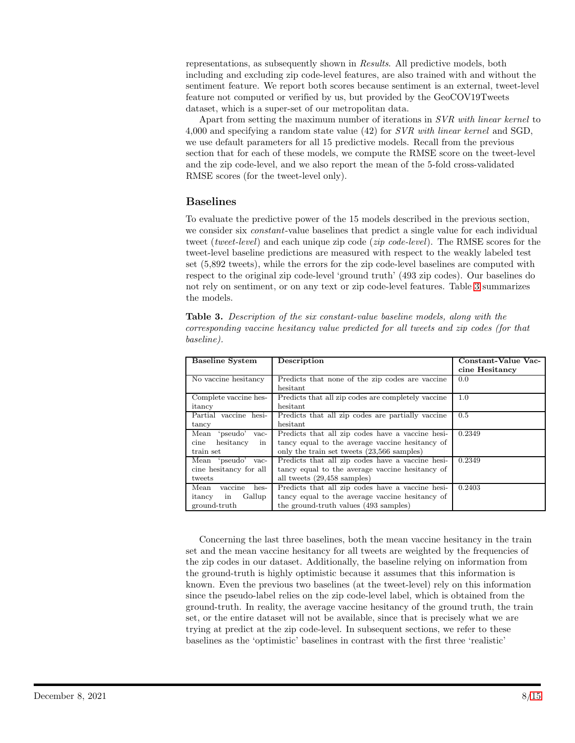representations, as subsequently shown in Results. All predictive models, both including and excluding zip code-level features, are also trained with and without the sentiment feature. We report both scores because sentiment is an external, tweet-level feature not computed or verified by us, but provided by the GeoCOV19Tweets dataset, which is a super-set of our metropolitan data.

Apart from setting the maximum number of iterations in SVR with linear kernel to 4,000 and specifying a random state value (42) for  $SVR$  with linear kernel and SGD, we use default parameters for all 15 predictive models. Recall from the previous section that for each of these models, we compute the RMSE score on the tweet-level and the zip code-level, and we also report the mean of the 5-fold cross-validated RMSE scores (for the tweet-level only).

#### Baselines

To evaluate the predictive power of the 15 models described in the previous section, we consider six *constant*-value baselines that predict a single value for each individual tweet (tweet-level) and each unique zip code (*zip code-level*). The RMSE scores for the tweet-level baseline predictions are measured with respect to the weakly labeled test set (5,892 tweets), while the errors for the zip code-level baselines are computed with respect to the original zip code-level 'ground truth' (493 zip codes). Our baselines do not rely on sentiment, or on any text or zip code-level features. Table [3](#page-7-0) summarizes the models.

| <b>Baseline System</b>                                            | Description                                                                                                                                       | Constant-Value Vac-<br>cine Hesitancy |  |
|-------------------------------------------------------------------|---------------------------------------------------------------------------------------------------------------------------------------------------|---------------------------------------|--|
| $\overline{\text{No}}$ vaccine hesitancy                          | Predicts that none of the zip codes are vaccine<br>hesitant                                                                                       | 0.0                                   |  |
| Complete vaccine hes-<br>itancy                                   | Predicts that all zip codes are completely vaccine<br>hesitant                                                                                    | 1.0                                   |  |
| Partial vaccine hesi-<br>tancy                                    | Predicts that all zip codes are partially vaccine<br>hesitant                                                                                     | 0.5                                   |  |
| Mean<br>'pseudo'<br>vac-<br>hesitancy<br>in<br>cine<br>train set  | Predicts that all zip codes have a vaccine hesi-<br>tancy equal to the average vaccine hesitancy of<br>only the train set tweets (23,566 samples) | 0.2349                                |  |
| Mean 'pseudo' vac-<br>cine hesitancy for all<br>tweets            | Predicts that all zip codes have a vaccine hesi-<br>tancy equal to the average vaccine hesitancy of<br>all tweets (29,458 samples)                | 0.2349                                |  |
| vaccine<br>Mean<br>hes-<br>Gallup<br>itancy<br>in<br>ground-truth | Predicts that all zip codes have a vaccine hesi-<br>tancy equal to the average vaccine hesitancy of<br>the ground-truth values (493 samples)      | 0.2403                                |  |

<span id="page-7-0"></span>Table 3. Description of the six constant-value baseline models, along with the corresponding vaccine hesitancy value predicted for all tweets and zip codes (for that baseline).

Concerning the last three baselines, both the mean vaccine hesitancy in the train set and the mean vaccine hesitancy for all tweets are weighted by the frequencies of the zip codes in our dataset. Additionally, the baseline relying on information from the ground-truth is highly optimistic because it assumes that this information is known. Even the previous two baselines (at the tweet-level) rely on this information since the pseudo-label relies on the zip code-level label, which is obtained from the ground-truth. In reality, the average vaccine hesitancy of the ground truth, the train set, or the entire dataset will not be available, since that is precisely what we are trying at predict at the zip code-level. In subsequent sections, we refer to these baselines as the 'optimistic' baselines in contrast with the first three 'realistic'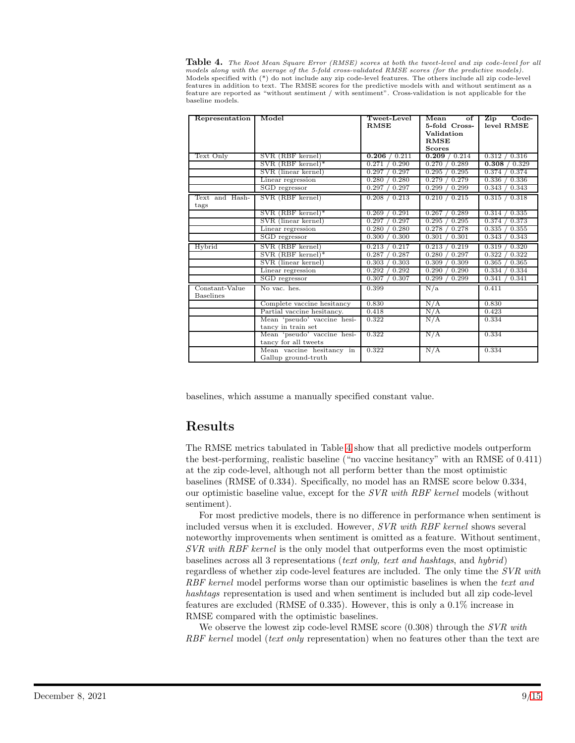<span id="page-8-0"></span>Table 4. The Root Mean Square Error (RMSE) scores at both the tweet-level and zip code-level for all models along with the average of the 5-fold cross-validated RMSE scores (for the predictive models). Models specified with (\*) do not include any zip code-level features. The others include all zip code-level features in addition to text. The RMSE scores for the predictive models with and without sentiment as a feature are reported as "without sentiment / with sentiment". Cross-validation is not applicable for the baseline models.

| Representation                     | Model                                               | Tweet-Level<br><b>RMSE</b> | Mean<br>$\alpha$ f<br>5-fold Cross-<br>Validation<br><b>RMSE</b><br><b>Scores</b> | $Code-$<br>$\overline{\text{Zip}}$<br>level RMSE |
|------------------------------------|-----------------------------------------------------|----------------------------|-----------------------------------------------------------------------------------|--------------------------------------------------|
| Text Only                          | SVR (RBF kernel)                                    | 0.211<br>0.206             | / 0.214<br>0.209                                                                  | 0.316<br>0.312                                   |
|                                    | $SVR$ (RBF kernel)*                                 | 0.271<br>0.290             | 0.289<br>0.270 /                                                                  | 0.308<br>$\sqrt{0.329}$                          |
|                                    | SVR (linear kernel)                                 | 0.297<br>0.297             | 0.295/<br>0.295                                                                   | 0.374<br>0.374                                   |
|                                    | Linear regression                                   | 0.280<br>0.280             | 0.279<br>0.279                                                                    | 0.336<br>0.336                                   |
|                                    | SGD regressor                                       | 0.297<br>0.297             | 0.299<br>0.299                                                                    | 0.343<br>0.343                                   |
| Text and Hash-<br>tags             | SVR (RBF kernel)                                    | 0.208 / 0.213              | 0.210 / 0.215                                                                     | 0.315 / 0.318                                    |
|                                    | $SVR$ (RBF kernel)*                                 | 0.291<br>0.269             | 0.289<br>0.267                                                                    | 0.335<br>0.314                                   |
|                                    | SVR (linear kernel)                                 | 0.297<br>0.297             | 0.295<br>0.295                                                                    | 0.374<br>0.373                                   |
|                                    | Linear regression                                   | 0.280<br>0.280             | 0.278<br>0.278                                                                    | 0.355<br>0.335                                   |
|                                    | SGD regressor                                       | 0.300<br>0.300             | 0.301<br>0.301                                                                    | 0.343<br>0.343                                   |
| Hybrid                             | SVR (RBF kernel)                                    | 0.213<br>0.217             | 0.219<br>0.213                                                                    | 0.320<br>0.319                                   |
|                                    | $SVR$ (RBF kernel)*                                 | 0.287<br>0.287             | 0.280<br>0.297                                                                    | 0.322<br>0.322                                   |
|                                    | SVR (linear kernel)                                 | 0.303<br>0.303             | 0.309<br>0.309                                                                    | 0.365<br>0.365                                   |
|                                    | Linear regression                                   | 0.292<br>0.292             | 0.290<br>0.290                                                                    | 0.334<br>0.334                                   |
|                                    | SGD regressor                                       | 0.307 / 0.307              | 0.299/<br>0.299                                                                   | 0.341<br>0.341                                   |
| Constant-Value<br><b>Baselines</b> | No vac. hes.                                        | 0.399                      | N/a                                                                               | 0.411                                            |
|                                    | Complete vaccine hesitancy                          | 0.830                      | N/A                                                                               | 0.830                                            |
|                                    | Partial vaccine hesitancy.                          | 0.418                      | N/A                                                                               | 0.423                                            |
|                                    | Mean 'pseudo' vaccine hesi-<br>tancy in train set   | 0.322                      | N/A                                                                               | 0.334                                            |
|                                    | Mean 'pseudo' vaccine hesi-<br>tancy for all tweets | 0.322                      | N/A                                                                               | 0.334                                            |
|                                    | Mean vaccine hesitancy in<br>Gallup ground-truth    | 0.322                      | N/A                                                                               | 0.334                                            |

baselines, which assume a manually specified constant value.

# Results

The RMSE metrics tabulated in Table [4](#page-8-0) show that all predictive models outperform the best-performing, realistic baseline ("no vaccine hesitancy" with an RMSE of 0.411) at the zip code-level, although not all perform better than the most optimistic baselines (RMSE of 0.334). Specifically, no model has an RMSE score below 0.334, our optimistic baseline value, except for the *SVR with RBF kernel* models (without sentiment).

For most predictive models, there is no difference in performance when sentiment is included versus when it is excluded. However, SVR with RBF kernel shows several noteworthy improvements when sentiment is omitted as a feature. Without sentiment, SVR with RBF kernel is the only model that outperforms even the most optimistic baselines across all 3 representations (text only, text and hashtags, and hybrid) regardless of whether zip code-level features are included. The only time the SVR with RBF kernel model performs worse than our optimistic baselines is when the text and hashtags representation is used and when sentiment is included but all zip code-level features are excluded (RMSE of 0.335). However, this is only a 0.1% increase in RMSE compared with the optimistic baselines.

We observe the lowest zip code-level RMSE score  $(0.308)$  through the SVR with RBF kernel model (text only representation) when no features other than the text are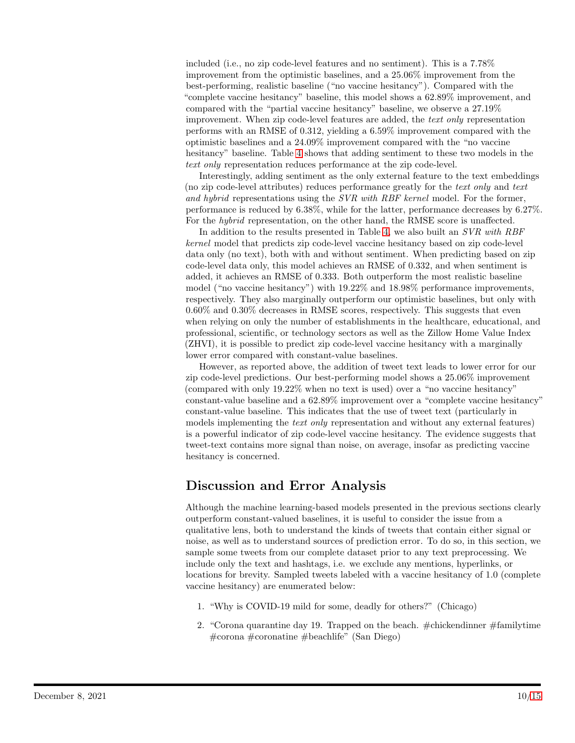included (i.e., no zip code-level features and no sentiment). This is a 7.78% improvement from the optimistic baselines, and a 25.06% improvement from the best-performing, realistic baseline ("no vaccine hesitancy"). Compared with the "complete vaccine hesitancy" baseline, this model shows a 62.89% improvement, and compared with the "partial vaccine hesitancy" baseline, we observe a 27.19% improvement. When zip code-level features are added, the text only representation performs with an RMSE of 0.312, yielding a 6.59% improvement compared with the optimistic baselines and a 24.09% improvement compared with the "no vaccine hesitancy" baseline. Table [4](#page-8-0) shows that adding sentiment to these two models in the text only representation reduces performance at the zip code-level.

Interestingly, adding sentiment as the only external feature to the text embeddings (no zip code-level attributes) reduces performance greatly for the text only and text and hybrid representations using the SVR with RBF kernel model. For the former, performance is reduced by 6.38%, while for the latter, performance decreases by 6.27%. For the *hybrid* representation, on the other hand, the RMSE score is unaffected.

In addition to the results presented in Table [4,](#page-8-0) we also built an SVR with RBF kernel model that predicts zip code-level vaccine hesitancy based on zip code-level data only (no text), both with and without sentiment. When predicting based on zip code-level data only, this model achieves an RMSE of 0.332, and when sentiment is added, it achieves an RMSE of 0.333. Both outperform the most realistic baseline model ("no vaccine hesitancy") with 19.22% and 18.98% performance improvements, respectively. They also marginally outperform our optimistic baselines, but only with 0.60% and 0.30% decreases in RMSE scores, respectively. This suggests that even when relying on only the number of establishments in the healthcare, educational, and professional, scientific, or technology sectors as well as the Zillow Home Value Index (ZHVI), it is possible to predict zip code-level vaccine hesitancy with a marginally lower error compared with constant-value baselines.

However, as reported above, the addition of tweet text leads to lower error for our zip code-level predictions. Our best-performing model shows a 25.06% improvement (compared with only 19.22% when no text is used) over a "no vaccine hesitancy" constant-value baseline and a 62.89% improvement over a "complete vaccine hesitancy" constant-value baseline. This indicates that the use of tweet text (particularly in models implementing the *text only* representation and without any external features) is a powerful indicator of zip code-level vaccine hesitancy. The evidence suggests that tweet-text contains more signal than noise, on average, insofar as predicting vaccine hesitancy is concerned.

# Discussion and Error Analysis

Although the machine learning-based models presented in the previous sections clearly outperform constant-valued baselines, it is useful to consider the issue from a qualitative lens, both to understand the kinds of tweets that contain either signal or noise, as well as to understand sources of prediction error. To do so, in this section, we sample some tweets from our complete dataset prior to any text preprocessing. We include only the text and hashtags, i.e. we exclude any mentions, hyperlinks, or locations for brevity. Sampled tweets labeled with a vaccine hesitancy of 1.0 (complete vaccine hesitancy) are enumerated below:

- 1. "Why is COVID-19 mild for some, deadly for others?" (Chicago)
- 2. "Corona quarantine day 19. Trapped on the beach.  $\#$ chickendinner  $\#$ familytime #corona #coronatine #beachlife" (San Diego)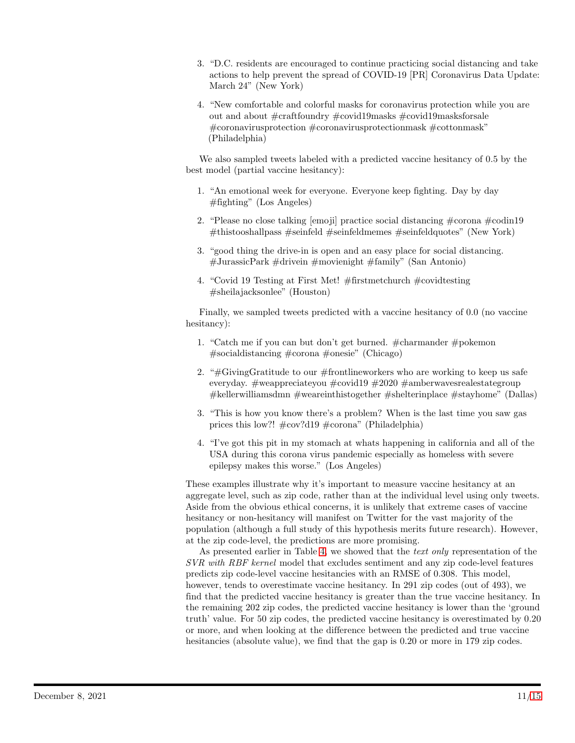- 3. "D.C. residents are encouraged to continue practicing social distancing and take actions to help prevent the spread of COVID-19 [PR] Coronavirus Data Update: March 24" (New York)
- 4. "New comfortable and colorful masks for coronavirus protection while you are out and about #craftfoundry #covid19masks #covid19masksforsale #coronavirusprotection #coronavirusprotectionmask #cottonmask" (Philadelphia)

We also sampled tweets labeled with a predicted vaccine hesitancy of 0.5 by the best model (partial vaccine hesitancy):

- 1. "An emotional week for everyone. Everyone keep fighting. Day by day  $\#$ fighting" (Los Angeles)
- 2. "Please no close talking [emoji] practice social distancing #corona #codin19 #thistooshallpass #seinfeld #seinfeldmemes #seinfeldquotes" (New York)
- 3. "good thing the drive-in is open and an easy place for social distancing. #JurassicPark #drivein #movienight #family" (San Antonio)
- 4. "Covid 19 Testing at First Met! #firstmetchurch #covidtesting #sheilajacksonlee" (Houston)

Finally, we sampled tweets predicted with a vaccine hesitancy of 0.0 (no vaccine hesitancy):

- 1. "Catch me if you can but don't get burned. #charmander #pokemon #socialdistancing #corona #onesie" (Chicago)
- 2. " $\#$ GivingGratitude to our  $\#$ frontlineworkers who are working to keep us safe everyday. #weappreciateyou #covid19 #2020 #amberwavesrealestategroup #kellerwilliamsdmn #weareinthistogether #shelterinplace #stayhome" (Dallas)
- 3. "This is how you know there's a problem? When is the last time you saw gas prices this low?! #cov?d19 #corona" (Philadelphia)
- 4. "I've got this pit in my stomach at whats happening in california and all of the USA during this corona virus pandemic especially as homeless with severe epilepsy makes this worse." (Los Angeles)

These examples illustrate why it's important to measure vaccine hesitancy at an aggregate level, such as zip code, rather than at the individual level using only tweets. Aside from the obvious ethical concerns, it is unlikely that extreme cases of vaccine hesitancy or non-hesitancy will manifest on Twitter for the vast majority of the population (although a full study of this hypothesis merits future research). However, at the zip code-level, the predictions are more promising.

As presented earlier in Table [4,](#page-8-0) we showed that the text only representation of the SVR with RBF kernel model that excludes sentiment and any zip code-level features predicts zip code-level vaccine hesitancies with an RMSE of 0.308. This model, however, tends to overestimate vaccine hesitancy. In 291 zip codes (out of 493), we find that the predicted vaccine hesitancy is greater than the true vaccine hesitancy. In the remaining 202 zip codes, the predicted vaccine hesitancy is lower than the 'ground truth' value. For 50 zip codes, the predicted vaccine hesitancy is overestimated by 0.20 or more, and when looking at the difference between the predicted and true vaccine hesitancies (absolute value), we find that the gap is 0.20 or more in 179 zip codes.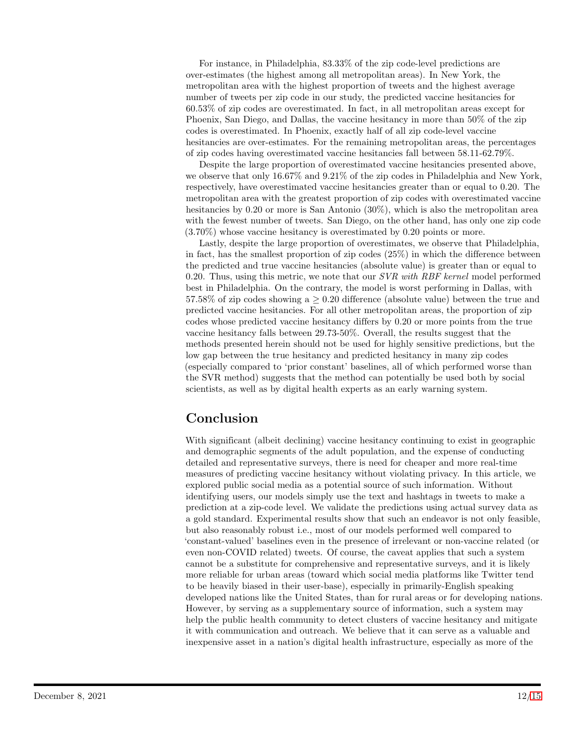For instance, in Philadelphia, 83.33% of the zip code-level predictions are over-estimates (the highest among all metropolitan areas). In New York, the metropolitan area with the highest proportion of tweets and the highest average number of tweets per zip code in our study, the predicted vaccine hesitancies for 60.53% of zip codes are overestimated. In fact, in all metropolitan areas except for Phoenix, San Diego, and Dallas, the vaccine hesitancy in more than 50% of the zip codes is overestimated. In Phoenix, exactly half of all zip code-level vaccine hesitancies are over-estimates. For the remaining metropolitan areas, the percentages of zip codes having overestimated vaccine hesitancies fall between 58.11-62.79%.

Despite the large proportion of overestimated vaccine hesitancies presented above, we observe that only 16.67% and 9.21% of the zip codes in Philadelphia and New York, respectively, have overestimated vaccine hesitancies greater than or equal to 0.20. The metropolitan area with the greatest proportion of zip codes with overestimated vaccine hesitancies by 0.20 or more is San Antonio (30%), which is also the metropolitan area with the fewest number of tweets. San Diego, on the other hand, has only one zip code (3.70%) whose vaccine hesitancy is overestimated by 0.20 points or more.

Lastly, despite the large proportion of overestimates, we observe that Philadelphia, in fact, has the smallest proportion of zip codes (25%) in which the difference between the predicted and true vaccine hesitancies (absolute value) is greater than or equal to 0.20. Thus, using this metric, we note that our  $SVR$  with RBF kernel model performed best in Philadelphia. On the contrary, the model is worst performing in Dallas, with 57.58% of zip codes showing a  $\geq$  0.20 difference (absolute value) between the true and predicted vaccine hesitancies. For all other metropolitan areas, the proportion of zip codes whose predicted vaccine hesitancy differs by 0.20 or more points from the true vaccine hesitancy falls between 29.73-50%. Overall, the results suggest that the methods presented herein should not be used for highly sensitive predictions, but the low gap between the true hesitancy and predicted hesitancy in many zip codes (especially compared to 'prior constant' baselines, all of which performed worse than the SVR method) suggests that the method can potentially be used both by social scientists, as well as by digital health experts as an early warning system.

# Conclusion

With significant (albeit declining) vaccine hesitancy continuing to exist in geographic and demographic segments of the adult population, and the expense of conducting detailed and representative surveys, there is need for cheaper and more real-time measures of predicting vaccine hesitancy without violating privacy. In this article, we explored public social media as a potential source of such information. Without identifying users, our models simply use the text and hashtags in tweets to make a prediction at a zip-code level. We validate the predictions using actual survey data as a gold standard. Experimental results show that such an endeavor is not only feasible, but also reasonably robust i.e., most of our models performed well compared to 'constant-valued' baselines even in the presence of irrelevant or non-vaccine related (or even non-COVID related) tweets. Of course, the caveat applies that such a system cannot be a substitute for comprehensive and representative surveys, and it is likely more reliable for urban areas (toward which social media platforms like Twitter tend to be heavily biased in their user-base), especially in primarily-English speaking developed nations like the United States, than for rural areas or for developing nations. However, by serving as a supplementary source of information, such a system may help the public health community to detect clusters of vaccine hesitancy and mitigate it with communication and outreach. We believe that it can serve as a valuable and inexpensive asset in a nation's digital health infrastructure, especially as more of the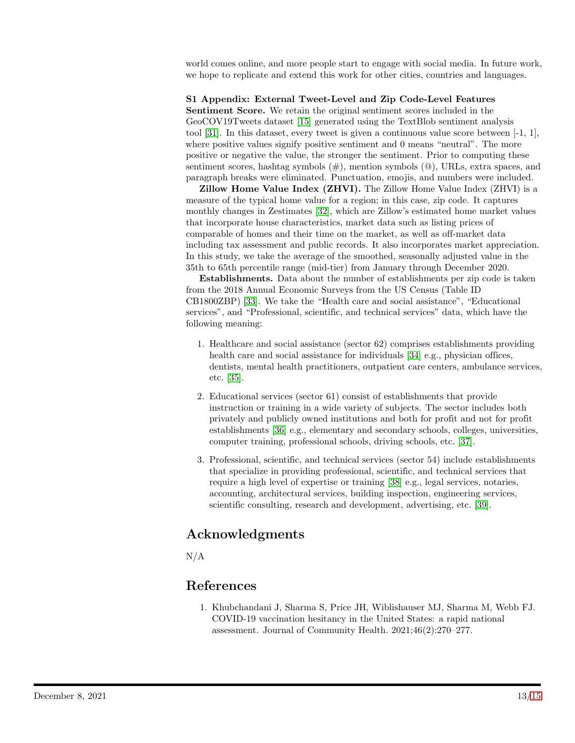world comes online, and more people start to engage with social media. In future work, we hope to replicate and extend this work for other cities, countries and languages.

#### S1 Appendix: External Tweet-Level and Zip Code-Level Features

Sentiment Score. We retain the original sentiment scores included in the GeoCOV19Tweets dataset [\[15\]](#page-13-13) generated using the TextBlob sentiment analysis tool [\[31\]](#page-14-11). In this dataset, every tweet is given a continuous value score between [-1, 1], where positive values signify positive sentiment and 0 means "neutral". The more positive or negative the value, the stronger the sentiment. Prior to computing these sentiment scores, hashtag symbols  $(\#)$ , mention symbols  $(\mathcal{Q})$ , URLs, extra spaces, and paragraph breaks were eliminated. Punctuation, emojis, and numbers were included.

Zillow Home Value Index (ZHVI). The Zillow Home Value Index (ZHVI) is a measure of the typical home value for a region; in this case, zip code. It captures monthly changes in Zestimates [\[32\]](#page-14-12), which are Zillow's estimated home market values that incorporate house characteristics, market data such as listing prices of comparable of homes and their time on the market, as well as off-market data including tax assessment and public records. It also incorporates market appreciation. In this study, we take the average of the smoothed, seasonally adjusted value in the 35th to 65th percentile range (mid-tier) from January through December 2020.

Establishments. Data about the number of establishments per zip code is taken from the 2018 Annual Economic Surveys from the US Census (Table ID CB1800ZBP) [\[33\]](#page-14-13). We take the "Health care and social assistance", "Educational services", and "Professional, scientific, and technical services" data, which have the following meaning:

- 1. Healthcare and social assistance (sector 62) comprises establishments providing health care and social assistance for individuals [\[34\]](#page-14-14) e.g., physician offices, dentists, mental health practitioners, outpatient care centers, ambulance services, etc. [\[35\]](#page-14-15).
- 2. Educational services (sector 61) consist of establishments that provide instruction or training in a wide variety of subjects. The sector includes both privately and publicly owned institutions and both for profit and not for profit establishments [\[36\]](#page-14-16) e.g., elementary and secondary schools, colleges, universities, computer training, professional schools, driving schools, etc. [\[37\]](#page-14-17).
- 3. Professional, scientific, and technical services (sector 54) include establishments that specialize in providing professional, scientific, and technical services that require a high level of expertise or training [\[38\]](#page-14-18) e.g., legal services, notaries, accounting, architectural services, building inspection, engineering services, scientific consulting, research and development, advertising, etc. [\[39\]](#page-14-19).

## Acknowledgments

N/A

## <span id="page-12-0"></span>References

1. Khubchandani J, Sharma S, Price JH, Wiblishauser MJ, Sharma M, Webb FJ. COVID-19 vaccination hesitancy in the United States: a rapid national assessment. Journal of Community Health. 2021;46(2):270–277.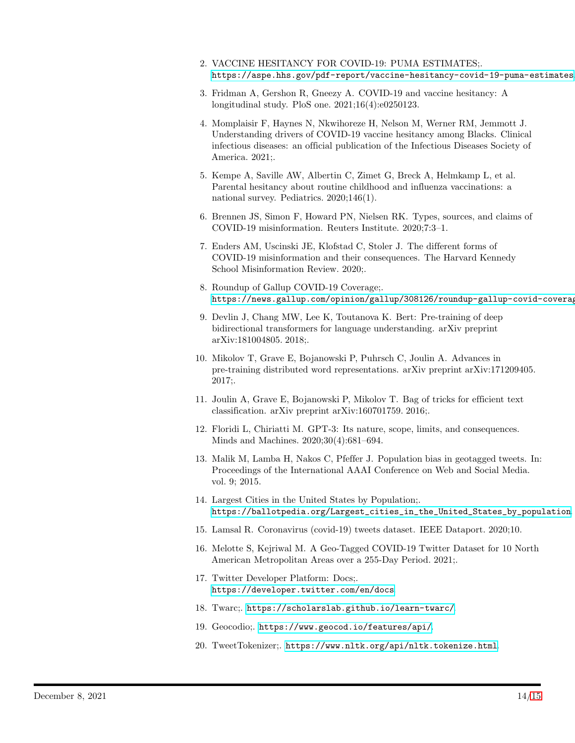- <span id="page-13-1"></span><span id="page-13-0"></span>2. VACCINE HESITANCY FOR COVID-19: PUMA ESTIMATES;. <https://aspe.hhs.gov/pdf-report/vaccine-hesitancy-covid-19-puma-estimates>.
- 3. Fridman A, Gershon R, Gneezy A. COVID-19 and vaccine hesitancy: A longitudinal study. PloS one. 2021;16(4):e0250123.
- <span id="page-13-2"></span>4. Momplaisir F, Haynes N, Nkwihoreze H, Nelson M, Werner RM, Jemmott J. Understanding drivers of COVID-19 vaccine hesitancy among Blacks. Clinical infectious diseases: an official publication of the Infectious Diseases Society of America. 2021;.
- <span id="page-13-3"></span>5. Kempe A, Saville AW, Albertin C, Zimet G, Breck A, Helmkamp L, et al. Parental hesitancy about routine childhood and influenza vaccinations: a national survey. Pediatrics. 2020;146(1).
- <span id="page-13-4"></span>6. Brennen JS, Simon F, Howard PN, Nielsen RK. Types, sources, and claims of COVID-19 misinformation. Reuters Institute. 2020;7:3–1.
- <span id="page-13-5"></span>7. Enders AM, Uscinski JE, Klofstad C, Stoler J. The different forms of COVID-19 misinformation and their consequences. The Harvard Kennedy School Misinformation Review. 2020;.
- <span id="page-13-6"></span>8. Roundup of Gallup COVID-19 Coverage;. https://news.gallup.com/opinion/gallup/308126/roundup-gallup-covid-coverag
- <span id="page-13-7"></span>9. Devlin J, Chang MW, Lee K, Toutanova K. Bert: Pre-training of deep bidirectional transformers for language understanding. arXiv preprint arXiv:181004805. 2018;.
- <span id="page-13-8"></span>10. Mikolov T, Grave E, Bojanowski P, Puhrsch C, Joulin A. Advances in pre-training distributed word representations. arXiv preprint arXiv:171209405. 2017;.
- <span id="page-13-9"></span>11. Joulin A, Grave E, Bojanowski P, Mikolov T. Bag of tricks for efficient text classification. arXiv preprint arXiv:160701759. 2016;.
- <span id="page-13-10"></span>12. Floridi L, Chiriatti M. GPT-3: Its nature, scope, limits, and consequences. Minds and Machines. 2020;30(4):681–694.
- <span id="page-13-11"></span>13. Malik M, Lamba H, Nakos C, Pfeffer J. Population bias in geotagged tweets. In: Proceedings of the International AAAI Conference on Web and Social Media. vol. 9; 2015.
- <span id="page-13-12"></span>14. Largest Cities in the United States by Population;. [https://ballotpedia.org/Largest\\_cities\\_in\\_the\\_United\\_States\\_by\\_population](https://ballotpedia.org/Largest_cities_in_the_United_States_by_population).
- <span id="page-13-14"></span><span id="page-13-13"></span>15. Lamsal R. Coronavirus (covid-19) tweets dataset. IEEE Dataport. 2020;10.
- 16. Melotte S, Kejriwal M. A Geo-Tagged COVID-19 Twitter Dataset for 10 North American Metropolitan Areas over a 255-Day Period. 2021;.
- <span id="page-13-15"></span>17. Twitter Developer Platform: Docs;. <https://developer.twitter.com/en/docs>.
- <span id="page-13-17"></span><span id="page-13-16"></span>18. Twarc;. <https://scholarslab.github.io/learn-twarc/>.
- <span id="page-13-18"></span>19. Geocodio;. <https://www.geocod.io/features/api/>.
- 20. TweetTokenizer;. <https://www.nltk.org/api/nltk.tokenize.html>.